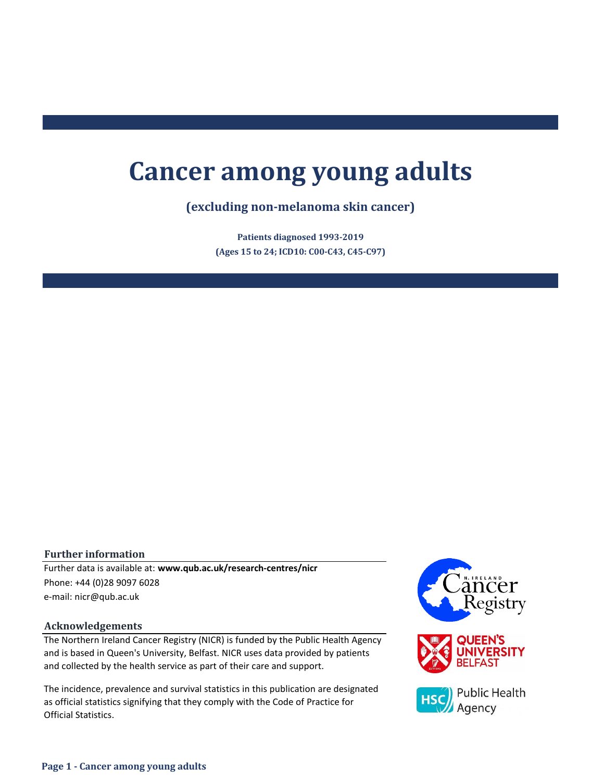# **Cancer among young adults**

# **(excluding non-melanoma skin cancer)**

**(Ages 15 to 24; ICD10: C00-C43, C45-C97) Patients diagnosed 1993-2019**

## **Further information**

e-mail: nicr@qub.ac.uk Further data is available at: **www.qub.ac.uk/research-centres/nicr** Phone: +44 (0)28 9097 6028

## **Acknowledgements**

The Northern Ireland Cancer Registry (NICR) is funded by the Public Health Agency and is based in Queen's University, Belfast. NICR uses data provided by patients and collected by the health service as part of their care and support.

The incidence, prevalence and survival statistics in this publication are designated as official statistics signifying that they comply with the Code of Practice for Official Statistics.

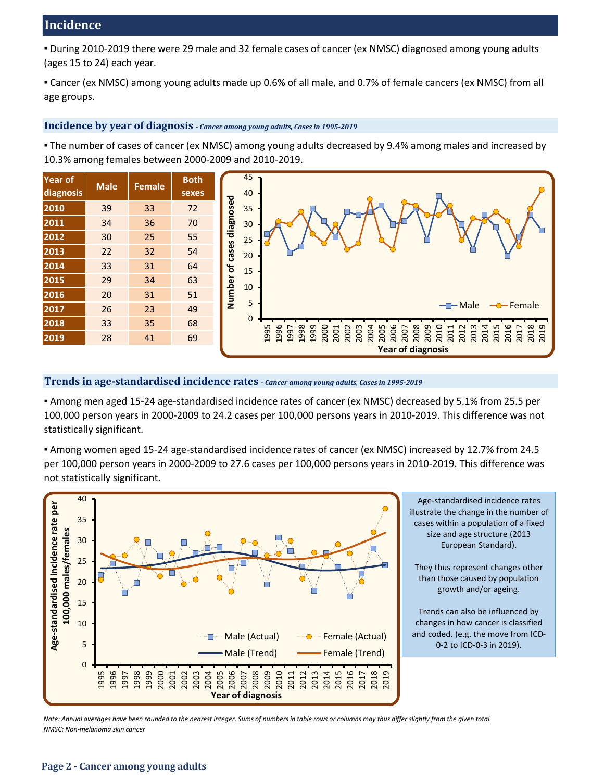▪ During 2010-2019 there were 29 male and 32 female cases of cancer (ex NMSC) diagnosed among young adults (ages 15 to 24) each year.

▪ Cancer (ex NMSC) among young adults made up 0.6% of all male, and 0.7% of female cancers (ex NMSC) from all age groups.

## **Incidence by year of diagnosis** *- Cancer among young adults, Cases in 1995-2019*

▪ The number of cases of cancer (ex NMSC) among young adults decreased by 9.4% among males and increased by 10.3% among females between 2000-2009 and 2010-2019.





## **Trends in age-standardised incidence rates** *- Cancer among young adults, Cases in 1995-2019*

▪ Among men aged 15-24 age-standardised incidence rates of cancer (ex NMSC) decreased by 5.1% from 25.5 per 100,000 person years in 2000-2009 to 24.2 cases per 100,000 persons years in 2010-2019. This difference was not statistically significant.

▪ Among women aged 15-24 age-standardised incidence rates of cancer (ex NMSC) increased by 12.7% from 24.5 per 100,000 person years in 2000-2009 to 27.6 cases per 100,000 persons years in 2010-2019. This difference was not statistically significant.



*Note: Annual averages have been rounded to the nearest integer. Sums of numbers in table rows or columns may thus differ slightly from the given total. NMSC: Non-melanoma skin cancer*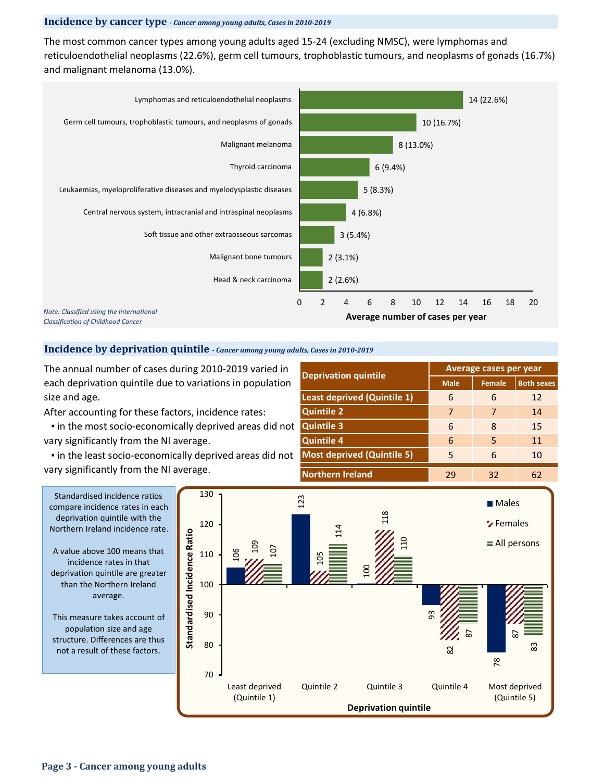### **Incidence by cancer type** *- Cancer among young adults, Cases in 2010-2019*

The most common cancer types among young adults aged 15-24 (excluding NMSC), were lymphomas and reticuloendothelial neoplasms (22.6%), germ cell tumours, trophoblastic tumours, and neoplasms of gonads (16.7%) and malignant melanoma (13.0%).



#### **Incidence by deprivation quintile** *- Cancer among young adults, Cases in 2010-2019*

The annual number of cases during 2010-2019 varied in each deprivation quintile due to variations in population size and age.

After accounting for these factors, incidence rates:

 ▪ in the most socio-economically deprived areas did not vary significantly from the NI average.

 ▪ in the least socio-economically deprived areas did not vary significantly from the NI average.

| <b>Deprivation quintile</b>        | Average cases per year |               |                   |  |  |  |
|------------------------------------|------------------------|---------------|-------------------|--|--|--|
|                                    | <b>Male</b>            | <b>Female</b> | <b>Both sexes</b> |  |  |  |
| <b>Least deprived (Quintile 1)</b> | 6                      | 6             | 12                |  |  |  |
| <b>Quintile 2</b>                  | 7                      | 7             | 14                |  |  |  |
| <b>Quintile 3</b>                  | 6                      | 8             | 15                |  |  |  |
| <b>Quintile 4</b>                  | 6                      | 5             | 11                |  |  |  |
| <b>Most deprived (Quintile 5)</b>  | 5                      | 6             | 10                |  |  |  |
| <b>Northern Ireland</b>            | 29                     | 32            | 62                |  |  |  |



Standardised incidence ratios compare incidence rates in each deprivation quintile with the Northern Ireland incidence rate.

A value above 100 means that incidence rates in that deprivation quintile are greater than the Northern Ireland average.

This measure takes account of population size and age structure. Differences are thus not a result of these factors.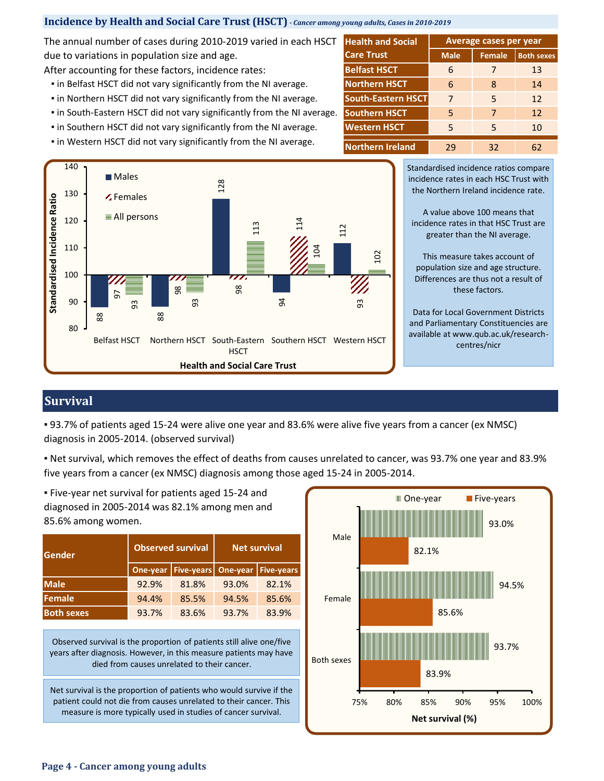## **Incidence by Health and Social Care Trust (HSCT)** *- Cancer among young adults, Cases in 2010-2019*

The annual number of cases during 2010-2019 varied in each HSCT due to variations in population size and age.

After accounting for these factors, incidence rates:

- **.** in Belfast HSCT did not vary significantly from the NI average.
- **.** in Northern HSCT did not vary significantly from the NI average.
- in South-Eastern HSCT did not vary significantly from the NI average.
- **.** in Southern HSCT did not vary significantly from the NI average.
- **.** in Western HSCT did not vary significantly from the NI average.



**Male Female Both sexes** 6 7 13 6 8 14 7 5 12 5 7 12 5 5 10 29 32 62 **Western HSCT Health and Social | Average cases per year Care Trust Belfast HSCT Southern HSCT Northern Ireland Northern HSCT South-Eastern HSCT**

> Standardised incidence ratios compare incidence rates in each HSC Trust with the Northern Ireland incidence rate.

A value above 100 means that incidence rates in that HSC Trust are greater than the NI average.

This measure takes account of population size and age structure. Differences are thus not a result of these factors.

Data for Local Government Districts and Parliamentary Constituencies are available at www.qub.ac.uk/researchcentres/nicr

# **Survival**

▪ 93.7% of patients aged 15-24 were alive one year and 83.6% were alive five years from a cancer (ex NMSC) diagnosis in 2005-2014. (observed survival)

▪ Net survival, which removes the effect of deaths from causes unrelated to cancer, was 93.7% one year and 83.9% five years from a cancer (ex NMSC) diagnosis among those aged 15-24 in 2005-2014.

**One-year Five-years One-year Five-years Male** 92.9% 81.8% 93.0% 82.1% 94.4% 85.5% 94.5% 85.6% 93.7% 83.6% 93.7% 83.9% **Gender Both sexes Net survival** 85.6% among women. **Observed survival Female**

▪ Five-year net survival for patients aged 15-24 and diagnosed in 2005-2014 was 82.1% among men and

Observed survival is the proportion of patients still alive one/five years after diagnosis. However, in this measure patients may have died from causes unrelated to their cancer.

Net survival is the proportion of patients who would survive if the patient could not die from causes unrelated to their cancer. This measure is more typically used in studies of cancer survival.

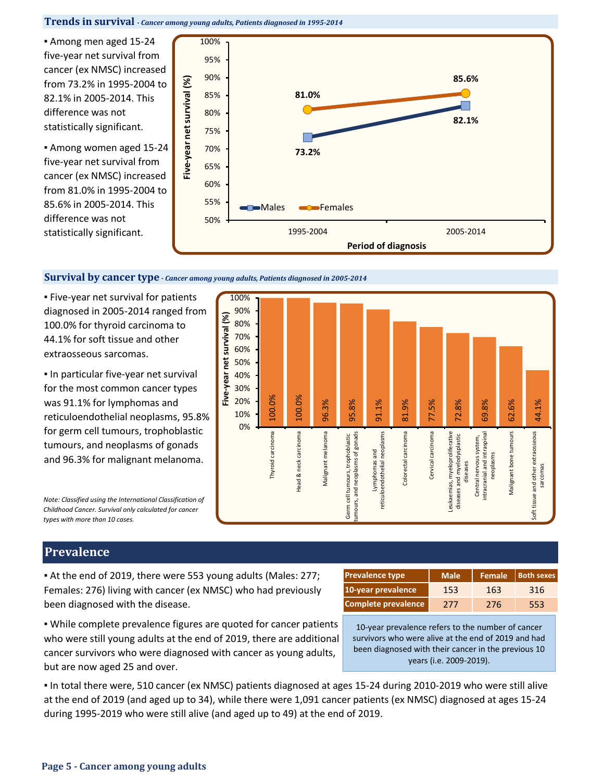#### **Trends in survival** *- Cancer among young adults, Patients diagnosed in 1995-2014*

▪ Among men aged 15-24 five-year net survival from cancer (ex NMSC) increased from 73.2% in 1995-2004 to 82.1% in 2005-2014. This difference was not statistically significant.

▪ Among women aged 15-24 five-year net survival from cancer (ex NMSC) increased from 81.0% in 1995-2004 to 85.6% in 2005-2014. This difference was not statistically significant.



#### **Survival by cancer type** *- Cancer among young adults, Patients diagnosed in 2005-2014*

▪ Five-year net survival for patients diagnosed in 2005-2014 ranged from 100.0% for thyroid carcinoma to 44.1% for soft tissue and other extraosseous sarcomas.

**In particular five-year net survival** for the most common cancer types was 91.1% for lymphomas and reticuloendothelial neoplasms, 95.8% for germ cell tumours, trophoblastic tumours, and neoplasms of gonads and 96.3% for malignant melanoma.

*Note: Classified using the International Classification of Childhood Cancer. Survival only calculated for cancer types with more than 10 cases.*

# **Prevalence**

▪ At the end of 2019, there were 553 young adults (Males: 277; Females: 276) living with cancer (ex NMSC) who had previously been diagnosed with the disease.

| <b>Prevalence type</b> | Male <sup>'</sup> |     | Female   Both sexes |  |  |
|------------------------|-------------------|-----|---------------------|--|--|
| 10-year prevalence     | 153               | 163 | 316                 |  |  |
| Complete prevalence    | 277               | 276 | 553                 |  |  |

. While complete prevalence figures are quoted for cancer patients who were still young adults at the end of 2019, there are additional cancer survivors who were diagnosed with cancer as young adults, but are now aged 25 and over.

10-year prevalence refers to the number of cancer survivors who were alive at the end of 2019 and had been diagnosed with their cancer in the previous 10 years (i.e. 2009-2019).

▪ In total there were, 510 cancer (ex NMSC) patients diagnosed at ages 15-24 during 2010-2019 who were still alive at the end of 2019 (and aged up to 34), while there were 1,091 cancer patients (ex NMSC) diagnosed at ages 15-24 during 1995-2019 who were still alive (and aged up to 49) at the end of 2019.

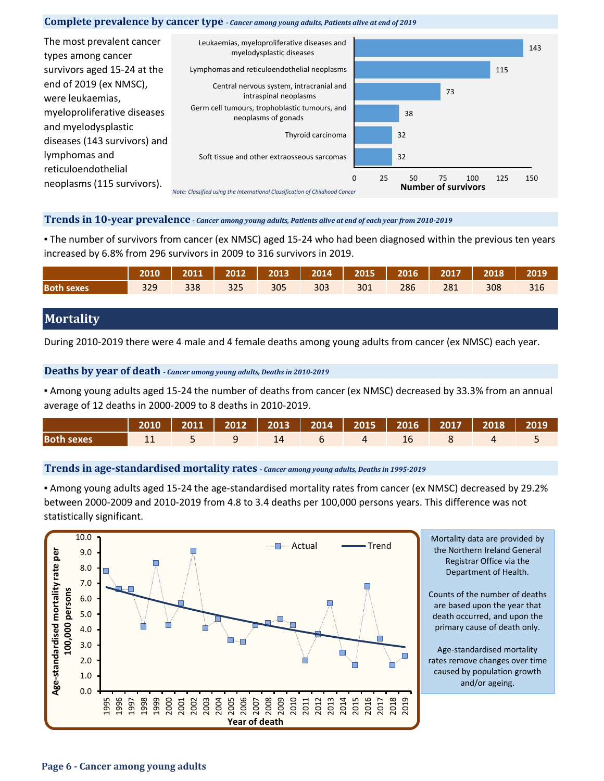#### **Complete prevalence by cancer type** *- Cancer among young adults, Patients alive at end of 2019*



## **Trends in 10-year prevalence** *- Cancer among young adults, Patients alive at end of each year from 2010-2019*

▪ The number of survivors from cancer (ex NMSC) aged 15-24 who had been diagnosed within the previous ten years increased by 6.8% from 296 survivors in 2009 to 316 survivors in 2019.

|                   |     |     |     |     |     |     |     |     | 2010   2011   2012   2013   2014   2015   2016   2017   2018 | 2019 |
|-------------------|-----|-----|-----|-----|-----|-----|-----|-----|--------------------------------------------------------------|------|
| <b>Both sexes</b> | 329 | 338 | 325 | 305 | 303 | 301 | 286 | 281 | 308                                                          | 316  |

# **Mortality**

During 2010-2019 there were 4 male and 4 female deaths among young adults from cancer (ex NMSC) each year.

## **Deaths by year of death** *- Cancer among young adults, Deaths in 2010-2019*

▪ Among young adults aged 15-24 the number of deaths from cancer (ex NMSC) decreased by 33.3% from an annual average of 12 deaths in 2000-2009 to 8 deaths in 2010-2019.

|                   | 2010   2011   2012   2013   2014   2015   2016   2017   2018   2019 <sup> </sup> |  |  |  |  |  |
|-------------------|----------------------------------------------------------------------------------|--|--|--|--|--|
| <b>Both sexes</b> |                                                                                  |  |  |  |  |  |

#### **Trends in age-standardised mortality rates** *- Cancer among young adults, Deaths in 1995-2019*

▪ Among young adults aged 15-24 the age-standardised mortality rates from cancer (ex NMSC) decreased by 29.2% between 2000-2009 and 2010-2019 from 4.8 to 3.4 deaths per 100,000 persons years. This difference was not statistically significant.



Mortality data are provided by the Northern Ireland General Registrar Office via the Department of Health.

Counts of the number of deaths are based upon the year that death occurred, and upon the primary cause of death only.

Age-standardised mortality rates remove changes over time caused by population growth and/or ageing.